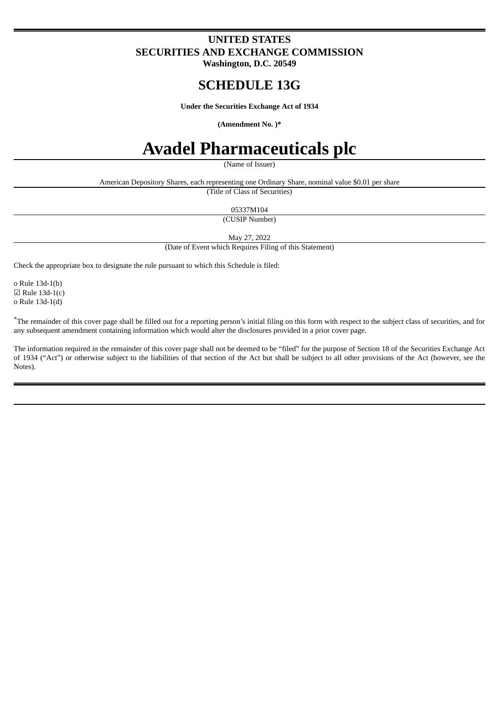# **UNITED STATES SECURITIES AND EXCHANGE COMMISSION**

**Washington, D.C. 20549**

# **SCHEDULE 13G**

**Under the Securities Exchange Act of 1934**

#### **(Amendment No. )\***

# **Avadel Pharmaceuticals plc**

(Name of Issuer)

American Depository Shares, each representing one Ordinary Share, nominal value \$0.01 per share

(Title of Class of Securities)

05337M104

(CUSIP Number)

May 27, 2022

(Date of Event which Requires Filing of this Statement)

Check the appropriate box to designate the rule pursuant to which this Schedule is filed:

o Rule 13d-1(b)  $\boxtimes$  Rule 13d-1(c) o Rule 13d-1(d)

\*The remainder of this cover page shall be filled out for a reporting person's initial filing on this form with respect to the subject class of securities, and for any subsequent amendment containing information which would alter the disclosures provided in a prior cover page.

The information required in the remainder of this cover page shall not be deemed to be "filed" for the purpose of Section 18 of the Securities Exchange Act of 1934 ("Act") or otherwise subject to the liabilities of that section of the Act but shall be subject to all other provisions of the Act (however, see the Notes).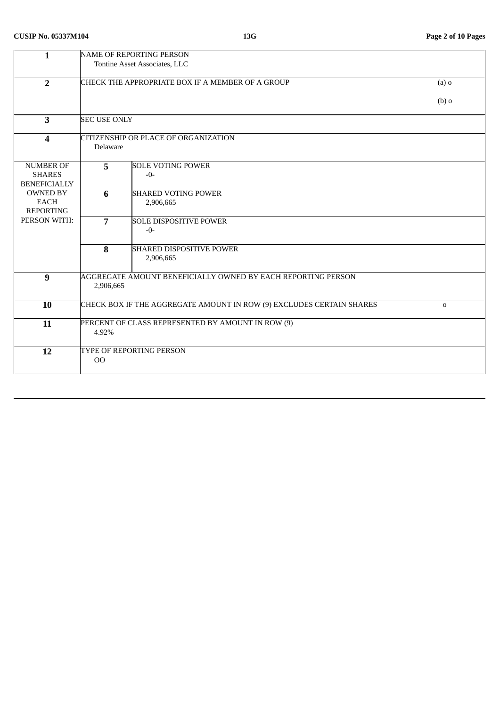| $\mathbf{1}$            | <b>NAME OF REPORTING PERSON</b>                              |                                                                      |             |  |  |  |
|-------------------------|--------------------------------------------------------------|----------------------------------------------------------------------|-------------|--|--|--|
|                         | Tontine Asset Associates, LLC                                |                                                                      |             |  |  |  |
|                         |                                                              |                                                                      | $(a)$ o     |  |  |  |
| $\overline{2}$          | CHECK THE APPROPRIATE BOX IF A MEMBER OF A GROUP             |                                                                      |             |  |  |  |
|                         |                                                              |                                                                      | $(b)$ o     |  |  |  |
|                         |                                                              |                                                                      |             |  |  |  |
| $\overline{\mathbf{3}}$ | <b>SEC USE ONLY</b>                                          |                                                                      |             |  |  |  |
|                         |                                                              |                                                                      |             |  |  |  |
| $\overline{\mathbf{4}}$ | CITIZENSHIP OR PLACE OF ORGANIZATION                         |                                                                      |             |  |  |  |
|                         | Delaware                                                     |                                                                      |             |  |  |  |
| <b>NUMBER OF</b>        | 5 <sup>5</sup>                                               | <b>SOLE VOTING POWER</b>                                             |             |  |  |  |
| <b>SHARES</b>           |                                                              | $-0-$                                                                |             |  |  |  |
| <b>BENEFICIALLY</b>     |                                                              |                                                                      |             |  |  |  |
| <b>OWNED BY</b>         | 6                                                            | <b>SHARED VOTING POWER</b>                                           |             |  |  |  |
| <b>EACH</b>             |                                                              | 2,906,665                                                            |             |  |  |  |
| <b>REPORTING</b>        |                                                              |                                                                      |             |  |  |  |
| PERSON WITH:            | $\overline{7}$                                               | <b>SOLE DISPOSITIVE POWER</b><br>$-0-$                               |             |  |  |  |
|                         |                                                              |                                                                      |             |  |  |  |
|                         | 8                                                            | <b>SHARED DISPOSITIVE POWER</b>                                      |             |  |  |  |
|                         |                                                              | 2,906,665                                                            |             |  |  |  |
|                         |                                                              |                                                                      |             |  |  |  |
| $\boldsymbol{9}$        | AGGREGATE AMOUNT BENEFICIALLY OWNED BY EACH REPORTING PERSON |                                                                      |             |  |  |  |
|                         | 2,906,665                                                    |                                                                      |             |  |  |  |
| 10                      |                                                              | CHECK BOX IF THE AGGREGATE AMOUNT IN ROW (9) EXCLUDES CERTAIN SHARES | $\mathbf 0$ |  |  |  |
|                         |                                                              |                                                                      |             |  |  |  |
| 11                      | PERCENT OF CLASS REPRESENTED BY AMOUNT IN ROW (9)            |                                                                      |             |  |  |  |
|                         | 4.92%                                                        |                                                                      |             |  |  |  |
|                         |                                                              |                                                                      |             |  |  |  |
| 12                      |                                                              | TYPE OF REPORTING PERSON                                             |             |  |  |  |
|                         | $00\,$                                                       |                                                                      |             |  |  |  |
|                         |                                                              |                                                                      |             |  |  |  |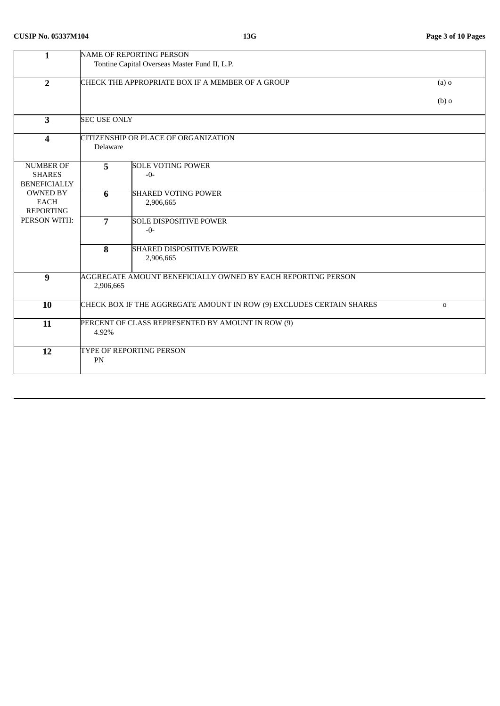| $\mathbf{1}$            | <b>NAME OF REPORTING PERSON</b>                                                  |                                                   |         |  |  |  |
|-------------------------|----------------------------------------------------------------------------------|---------------------------------------------------|---------|--|--|--|
|                         | Tontine Capital Overseas Master Fund II, L.P.                                    |                                                   |         |  |  |  |
|                         |                                                                                  |                                                   |         |  |  |  |
| $\overline{2}$          |                                                                                  | CHECK THE APPROPRIATE BOX IF A MEMBER OF A GROUP  |         |  |  |  |
|                         |                                                                                  |                                                   |         |  |  |  |
|                         |                                                                                  |                                                   | $(b)$ o |  |  |  |
|                         |                                                                                  |                                                   |         |  |  |  |
|                         |                                                                                  |                                                   |         |  |  |  |
| $\overline{\mathbf{3}}$ | <b>SEC USE ONLY</b>                                                              |                                                   |         |  |  |  |
|                         |                                                                                  |                                                   |         |  |  |  |
| $\overline{\mathbf{4}}$ | CITIZENSHIP OR PLACE OF ORGANIZATION                                             |                                                   |         |  |  |  |
|                         | Delaware                                                                         |                                                   |         |  |  |  |
|                         |                                                                                  |                                                   |         |  |  |  |
| <b>NUMBER OF</b>        | $\overline{5}$                                                                   | <b>SOLE VOTING POWER</b>                          |         |  |  |  |
|                         |                                                                                  |                                                   |         |  |  |  |
| <b>SHARES</b>           |                                                                                  | $-0-$                                             |         |  |  |  |
| <b>BENEFICIALLY</b>     |                                                                                  |                                                   |         |  |  |  |
| <b>OWNED BY</b>         | 6                                                                                | <b>SHARED VOTING POWER</b>                        |         |  |  |  |
| <b>EACH</b>             |                                                                                  | 2,906,665                                         |         |  |  |  |
| <b>REPORTING</b>        |                                                                                  |                                                   |         |  |  |  |
| PERSON WITH:            | $\overline{7}$                                                                   | <b>SOLE DISPOSITIVE POWER</b>                     |         |  |  |  |
|                         |                                                                                  | $-0-$                                             |         |  |  |  |
|                         |                                                                                  |                                                   |         |  |  |  |
|                         |                                                                                  |                                                   |         |  |  |  |
|                         | 8                                                                                | <b>SHARED DISPOSITIVE POWER</b>                   |         |  |  |  |
|                         |                                                                                  | 2,906,665                                         |         |  |  |  |
|                         |                                                                                  |                                                   |         |  |  |  |
| 9                       | AGGREGATE AMOUNT BENEFICIALLY OWNED BY EACH REPORTING PERSON                     |                                                   |         |  |  |  |
|                         | 2,906,665                                                                        |                                                   |         |  |  |  |
|                         |                                                                                  |                                                   |         |  |  |  |
| 10                      | CHECK BOX IF THE AGGREGATE AMOUNT IN ROW (9) EXCLUDES CERTAIN SHARES<br>$\Omega$ |                                                   |         |  |  |  |
|                         |                                                                                  |                                                   |         |  |  |  |
|                         |                                                                                  |                                                   |         |  |  |  |
| 11                      |                                                                                  | PERCENT OF CLASS REPRESENTED BY AMOUNT IN ROW (9) |         |  |  |  |
|                         | 4.92%                                                                            |                                                   |         |  |  |  |
|                         |                                                                                  |                                                   |         |  |  |  |
| 12                      | TYPE OF REPORTING PERSON                                                         |                                                   |         |  |  |  |
| PN                      |                                                                                  |                                                   |         |  |  |  |
|                         |                                                                                  |                                                   |         |  |  |  |
|                         |                                                                                  |                                                   |         |  |  |  |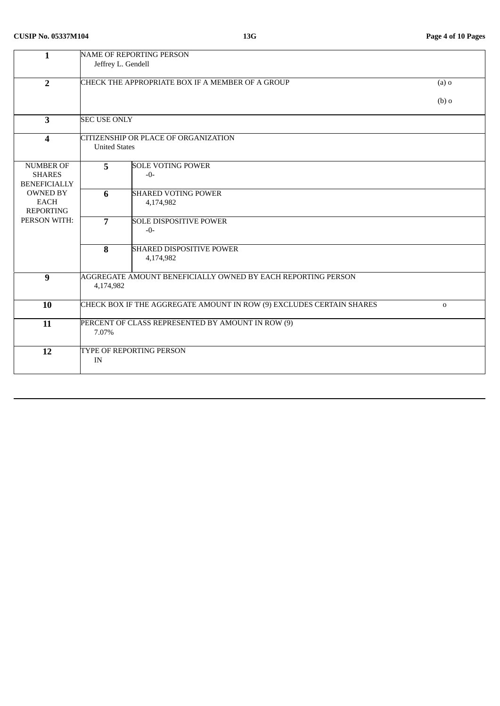| $\mathbf{1}$            | <b>NAME OF REPORTING PERSON</b>                                                      |                                                              |         |  |  |  |
|-------------------------|--------------------------------------------------------------------------------------|--------------------------------------------------------------|---------|--|--|--|
|                         | Jeffrey L. Gendell                                                                   |                                                              |         |  |  |  |
|                         |                                                                                      |                                                              |         |  |  |  |
| $\overline{2}$          | CHECK THE APPROPRIATE BOX IF A MEMBER OF A GROUP                                     | $(a)$ o                                                      |         |  |  |  |
|                         |                                                                                      |                                                              |         |  |  |  |
|                         |                                                                                      |                                                              | $(b)$ o |  |  |  |
|                         |                                                                                      |                                                              |         |  |  |  |
| $\overline{\mathbf{3}}$ | <b>SEC USE ONLY</b>                                                                  |                                                              |         |  |  |  |
|                         | CITIZENSHIP OR PLACE OF ORGANIZATION                                                 |                                                              |         |  |  |  |
| $\overline{\mathbf{4}}$ |                                                                                      |                                                              |         |  |  |  |
|                         | <b>United States</b>                                                                 |                                                              |         |  |  |  |
| <b>NUMBER OF</b>        | 5                                                                                    | <b>SOLE VOTING POWER</b>                                     |         |  |  |  |
| <b>SHARES</b>           |                                                                                      | $-0-$                                                        |         |  |  |  |
| <b>BENEFICIALLY</b>     |                                                                                      |                                                              |         |  |  |  |
| <b>OWNED BY</b>         | 6                                                                                    | <b>SHARED VOTING POWER</b>                                   |         |  |  |  |
| <b>EACH</b>             |                                                                                      | 4,174,982                                                    |         |  |  |  |
| <b>REPORTING</b>        |                                                                                      |                                                              |         |  |  |  |
| PERSON WITH:            | $\overline{7}$                                                                       | <b>SOLE DISPOSITIVE POWER</b>                                |         |  |  |  |
|                         |                                                                                      | $-0-$                                                        |         |  |  |  |
|                         |                                                                                      |                                                              |         |  |  |  |
|                         | 8                                                                                    | <b>SHARED DISPOSITIVE POWER</b>                              |         |  |  |  |
|                         |                                                                                      | 4,174,982                                                    |         |  |  |  |
| $\overline{9}$          |                                                                                      | AGGREGATE AMOUNT BENEFICIALLY OWNED BY EACH REPORTING PERSON |         |  |  |  |
|                         | 4,174,982                                                                            |                                                              |         |  |  |  |
|                         |                                                                                      |                                                              |         |  |  |  |
| 10                      | CHECK BOX IF THE AGGREGATE AMOUNT IN ROW (9) EXCLUDES CERTAIN SHARES<br>$\mathbf{O}$ |                                                              |         |  |  |  |
|                         |                                                                                      |                                                              |         |  |  |  |
| 11                      | PERCENT OF CLASS REPRESENTED BY AMOUNT IN ROW (9)                                    |                                                              |         |  |  |  |
|                         | 7.07%                                                                                |                                                              |         |  |  |  |
|                         |                                                                                      |                                                              |         |  |  |  |
| 12                      | TYPE OF REPORTING PERSON                                                             |                                                              |         |  |  |  |
|                         | IN                                                                                   |                                                              |         |  |  |  |
|                         |                                                                                      |                                                              |         |  |  |  |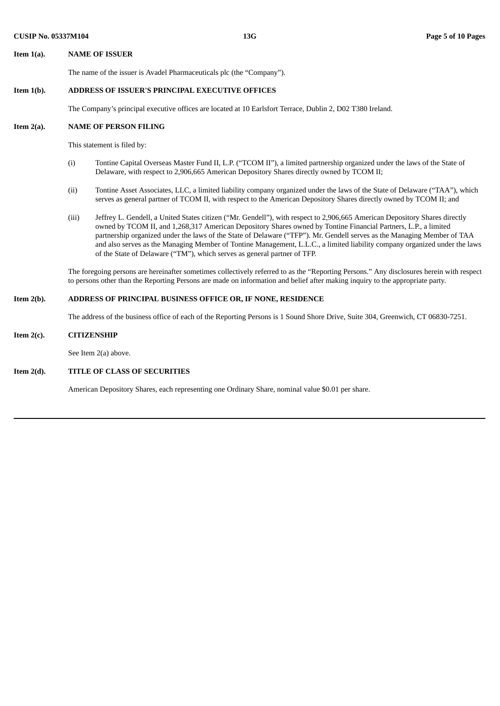# **Item 1(a). NAME OF ISSUER**

The name of the issuer is Avadel Pharmaceuticals plc (the "Company").

# **Item 1(b). ADDRESS OF ISSUER'S PRINCIPAL EXECUTIVE OFFICES**

The Company's principal executive offices are located at 10 Earlsfort Terrace, Dublin 2, D02 T380 Ireland.

#### **Item 2(a). NAME OF PERSON FILING**

This statement is filed by:

- (i) Tontine Capital Overseas Master Fund II, L.P. ("TCOM II"), a limited partnership organized under the laws of the State of Delaware, with respect to 2,906,665 American Depository Shares directly owned by TCOM II;
- (ii) Tontine Asset Associates, LLC, a limited liability company organized under the laws of the State of Delaware ("TAA"), which serves as general partner of TCOM II, with respect to the American Depository Shares directly owned by TCOM II; and
- (iii) Jeffrey L. Gendell, a United States citizen ("Mr. Gendell"), with respect to 2,906,665 American Depository Shares directly owned by TCOM II, and 1,268,317 American Depository Shares owned by Tontine Financial Partners, L.P., a limited partnership organized under the laws of the State of Delaware ("TFP"). Mr. Gendell serves as the Managing Member of TAA and also serves as the Managing Member of Tontine Management, L.L.C., a limited liability company organized under the laws of the State of Delaware ("TM"), which serves as general partner of TFP.

The foregoing persons are hereinafter sometimes collectively referred to as the "Reporting Persons." Any disclosures herein with respect to persons other than the Reporting Persons are made on information and belief after making inquiry to the appropriate party.

# **Item 2(b). ADDRESS OF PRINCIPAL BUSINESS OFFICE OR, IF NONE, RESIDENCE**

The address of the business office of each of the Reporting Persons is 1 Sound Shore Drive, Suite 304, Greenwich, CT 06830-7251.

#### **Item 2(c). CITIZENSHIP**

See Item 2(a) above.

# **Item 2(d). TITLE OF CLASS OF SECURITIES**

American Depository Shares, each representing one Ordinary Share, nominal value \$0.01 per share.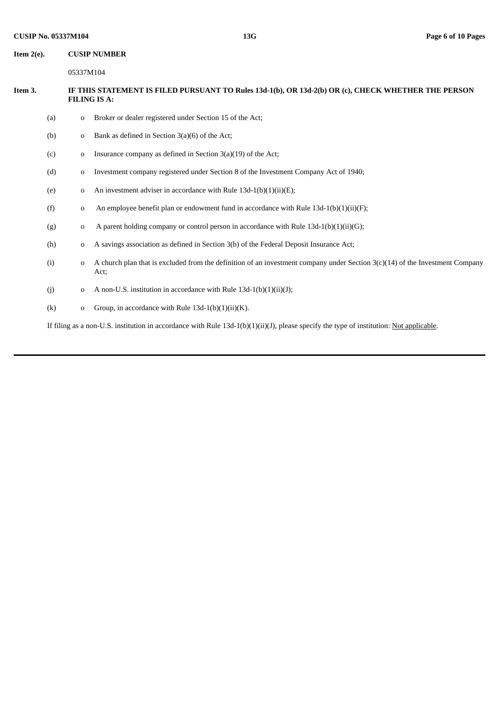**Item 2(e). CUSIP NUMBER**

05337M104

# Item 3. IF THIS STATEMENT IS FILED PURSUANT TO Rules 13d-1(b), OR 13d-2(b) OR (c), CHECK WHETHER THE PERSON **FILING IS A:**

- (a) o Broker or dealer registered under Section 15 of the Act;
- (b) o Bank as defined in Section 3(a)(6) of the Act;
- (c) o Insurance company as defined in Section  $3(a)(19)$  of the Act;
- (d) o Investment company registered under Section 8 of the Investment Company Act of 1940;
- (e)  $\qquad \qquad$  0 An investment adviser in accordance with Rule 13d-1(b)(1)(ii)(E);
- (f)  $\qquad$  o An employee benefit plan or endowment fund in accordance with Rule 13d-1(b)(1)(ii)(F);
- (g)  $\qquad \qquad$  0 A parent holding company or control person in accordance with Rule 13d-1(b)(1)(ii)(G);
- (h) o A savings association as defined in Section 3(b) of the Federal Deposit Insurance Act;
- (i) o A church plan that is excluded from the definition of an investment company under Section 3(c)(14) of the Investment Company Act;
- (j)  $\qquad \qquad$  o A non-U.S. institution in accordance with Rule 13d-1(b)(1)(ii)(J);
- (k) o Group, in accordance with Rule  $13d-1(b)(1)(ii)(K)$ .

If filing as a non-U.S. institution in accordance with Rule 13d-1(b)(1)(ii)(J), please specify the type of institution: Not applicable.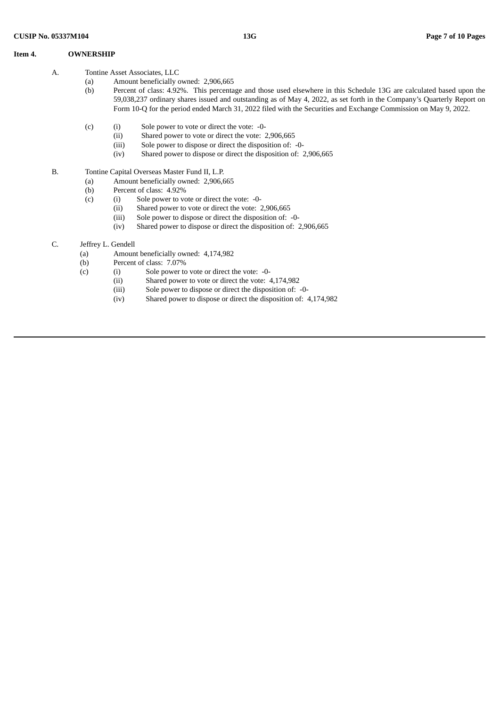#### **Item 4. OWNERSHIP**

- (a) Amount beneficially owned: 2,906,665
- (b) Percent of class: 4.92%. This percentage and those used elsewhere in this Schedule 13G are calculated based upon the 59,038,237 ordinary shares issued and outstanding as of May 4, 2022, as set forth in the Company's Quarterly Report on Form 10-Q for the period ended March 31, 2022 filed with the Securities and Exchange Commission on May 9, 2022.
- (c) (i) Sole power to vote or direct the vote: -0-
	- (ii) Shared power to vote or direct the vote: 2,906,665
	- (iii) Sole power to dispose or direct the disposition of: -0-
	- (iv) Shared power to dispose or direct the disposition of: 2,906,665
- B. Tontine Capital Overseas Master Fund II, L.P.
	- (a) Amount beneficially owned: 2,906,665
	- (b) Percent of class: 4.92%
	- (c) (i) Sole power to vote or direct the vote: -0-<br>(ii) Shared power to vote or direct the vote: 2
		- Shared power to vote or direct the vote: 2,906,665
		- (iii) Sole power to dispose or direct the disposition of: -0-
		- (iv) Shared power to dispose or direct the disposition of: 2,906,665
- C. Jeffrey L. Gendell
	- (a) Amount beneficially owned: 4,174,982
	- (b) Percent of class: 7.07%
	- (c) (i) Sole power to vote or direct the vote: -0-
		- (ii) Shared power to vote or direct the vote: 4,174,982
		- (iii) Sole power to dispose or direct the disposition of: -0-
		- (iv) Shared power to dispose or direct the disposition of: 4,174,982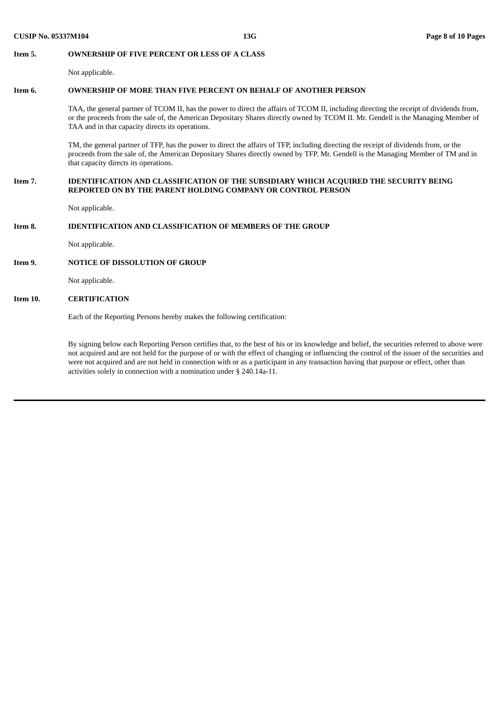#### **Item 5. OWNERSHIP OF FIVE PERCENT OR LESS OF A CLASS**

Not applicable.

### **Item 6. OWNERSHIP OF MORE THAN FIVE PERCENT ON BEHALF OF ANOTHER PERSON**

TAA, the general partner of TCOM II, has the power to direct the affairs of TCOM II, including directing the receipt of dividends from, or the proceeds from the sale of, the American Depositary Shares directly owned by TCOM II. Mr. Gendell is the Managing Member of TAA and in that capacity directs its operations.

TM, the general partner of TFP, has the power to direct the affairs of TFP, including directing the receipt of dividends from, or the proceeds from the sale of, the American Depositary Shares directly owned by TFP. Mr. Gendell is the Managing Member of TM and in that capacity directs its operations.

## **Item 7. IDENTIFICATION AND CLASSIFICATION OF THE SUBSIDIARY WHICH ACQUIRED THE SECURITY BEING REPORTED ON BY THE PARENT HOLDING COMPANY OR CONTROL PERSON**

Not applicable.

# **Item 8. IDENTIFICATION AND CLASSIFICATION OF MEMBERS OF THE GROUP**

Not applicable.

# **Item 9. NOTICE OF DISSOLUTION OF GROUP**

Not applicable.

#### **Item 10. CERTIFICATION**

Each of the Reporting Persons hereby makes the following certification:

By signing below each Reporting Person certifies that, to the best of his or its knowledge and belief, the securities referred to above were not acquired and are not held for the purpose of or with the effect of changing or influencing the control of the issuer of the securities and were not acquired and are not held in connection with or as a participant in any transaction having that purpose or effect, other than activities solely in connection with a nomination under § 240.14a-11.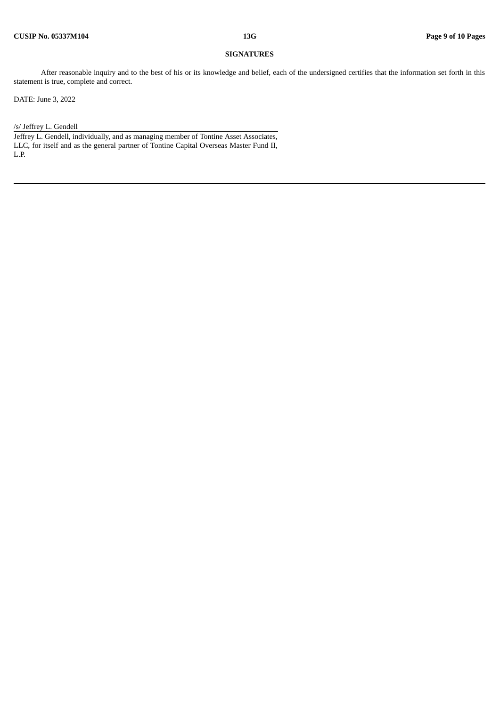## **SIGNATURES**

After reasonable inquiry and to the best of his or its knowledge and belief, each of the undersigned certifies that the information set forth in this statement is true, complete and correct.

DATE: June 3, 2022

#### /s/ Jeffrey L. Gendell

Jeffrey L. Gendell, individually, and as managing member of Tontine Asset Associates, LLC, for itself and as the general partner of Tontine Capital Overseas Master Fund II, L.P.